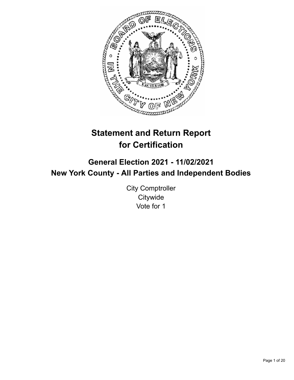

# **Statement and Return Report for Certification**

## **General Election 2021 - 11/02/2021 New York County - All Parties and Independent Bodies**

City Comptroller **Citywide** Vote for 1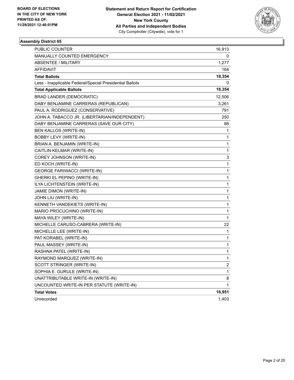

| PUBLIC COUNTER                                           | 16,913         |
|----------------------------------------------------------|----------------|
| MANUALLY COUNTED EMERGENCY                               | 0              |
| ABSENTEE / MILITARY                                      | 1,277          |
| AFFIDAVIT                                                | 164            |
| <b>Total Ballots</b>                                     | 18,354         |
| Less - Inapplicable Federal/Special Presidential Ballots | 0              |
| <b>Total Applicable Ballots</b>                          | 18,354         |
| <b>BRAD LANDER (DEMOCRATIC)</b>                          | 12,506         |
| DABY BENJAMINE CARRERAS (REPUBLICAN)                     | 3,261          |
| PAUL A. RODRIGUEZ (CONSERVATIVE)                         | 791            |
| JOHN A. TABACCO JR. (LIBERTARIAN/INDEPENDENT)            | 250            |
| DABY BENJAMINE CARRERAS (SAVE OUR CITY)                  | 88             |
| BEN KALLOS (WRITE-IN)                                    | 1              |
| <b>BOBBY LEVY (WRITE-IN)</b>                             | 1              |
| BRIAN A. BENJAMIN (WRITE-IN)                             | 1              |
| CAITLIN KELMAR (WRITE-IN)                                | 1              |
| COREY JOHNSON (WRITE-IN)                                 | 3              |
| ED KOCH (WRITE-IN)                                       | 1              |
| <b>GEORGE FARIWACCI (WRITE-IN)</b>                       | 1              |
| GHERKI EL PEPINO (WRITE-IN)                              | 1              |
| ILYA LICHTENSTEIN (WRITE-IN)                             | 1              |
| JAMIE DIMON (WRITE-IN)                                   | 1              |
| JOHN LIU (WRITE-IN)                                      | 1              |
| KENNETH VANDEKIETS (WRITE-IN)                            | 1              |
| MARIO PROCUCHINO (WRITE-IN)                              | 1              |
| MAYA WILEY (WRITE-IN)                                    | 1              |
| MICHELLE CARUSO-CABRERA (WRITE-IN)                       | 22             |
| MICHELLE LEE (WRITE-IN)                                  | 1              |
| PAT KORABEL (WRITE-IN)                                   | 1              |
| PAUL MASSEY (WRITE-IN)                                   | 1              |
| RASHNA PATEL (WRITE-IN)                                  | 1              |
| RAYMOND MARQUEZ (WRITE-IN)                               | 1              |
| SCOTT STRINGER (WRITE-IN)                                | $\overline{c}$ |
| SOPHIA E. GURULE (WRITE-IN)                              | 1              |
| UNATTRIBUTABLE WRITE-IN (WRITE-IN)                       | 8              |
| UNCOUNTED WRITE-IN PER STATUTE (WRITE-IN)                | 1              |
| <b>Total Votes</b>                                       | 16,951         |
| Unrecorded                                               | 1,403          |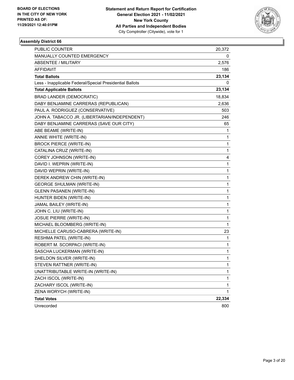

| PUBLIC COUNTER                                           | 20,372       |
|----------------------------------------------------------|--------------|
| MANUALLY COUNTED EMERGENCY                               | 0            |
| <b>ABSENTEE / MILITARY</b>                               | 2,576        |
| AFFIDAVIT                                                | 186          |
| <b>Total Ballots</b>                                     | 23,134       |
| Less - Inapplicable Federal/Special Presidential Ballots | 0            |
| <b>Total Applicable Ballots</b>                          | 23,134       |
| <b>BRAD LANDER (DEMOCRATIC)</b>                          | 18,834       |
| DABY BENJAMINE CARRERAS (REPUBLICAN)                     | 2,636        |
| PAUL A. RODRIGUEZ (CONSERVATIVE)                         | 503          |
| JOHN A. TABACCO JR. (LIBERTARIAN/INDEPENDENT)            | 246          |
| DABY BENJAMINE CARRERAS (SAVE OUR CITY)                  | 65           |
| ABE BEAME (WRITE-IN)                                     | 1            |
| ANNIE WHITE (WRITE-IN)                                   | 1            |
| <b>BROCK PIERCE (WRITE-IN)</b>                           | $\mathbf{1}$ |
| CATALINA CRUZ (WRITE-IN)                                 | 1            |
| COREY JOHNSON (WRITE-IN)                                 | 4            |
| DAVID I. WEPRIN (WRITE-IN)                               | $\mathbf{1}$ |
| DAVID WEPRIN (WRITE-IN)                                  | 1            |
| DEREK ANDREW CHIN (WRITE-IN)                             | 1            |
| <b>GEORGE SHULMAN (WRITE-IN)</b>                         | $\mathbf{1}$ |
| <b>GLENN PASANEN (WRITE-IN)</b>                          | 1            |
| HUNTER BIDEN (WRITE-IN)                                  | 1            |
| JAMAL BAILEY (WRITE-IN)                                  | $\mathbf{1}$ |
| JOHN C. LIU (WRITE-IN)                                   | 1            |
| JOSUE PIERRE (WRITE-IN)                                  | 1            |
| MICHAEL BLOOMBERG (WRITE-IN)                             | $\mathbf{1}$ |
| MICHELLE CARUSO-CABRERA (WRITE-IN)                       | 23           |
| RESHMA PATEL (WRITE-IN)                                  | 1            |
| ROBERT M. SCORPACI (WRITE-IN)                            | $\mathbf{1}$ |
| SASCHA LUCKERMAN (WRITE-IN)                              | 1            |
| SHELDON SILVER (WRITE-IN)                                | $\mathbf{1}$ |
| STEVEN RATTNER (WRITE-IN)                                | $\mathbf{1}$ |
| UNATTRIBUTABLE WRITE-IN (WRITE-IN)                       | 1            |
| ZACH ISCOL (WRITE-IN)                                    | 1            |
| ZACHARY ISCOL (WRITE-IN)                                 | 1            |
| ZENA WORYCH (WRITE-IN)                                   | 1            |
| <b>Total Votes</b>                                       | 22,334       |
| Unrecorded                                               | 800          |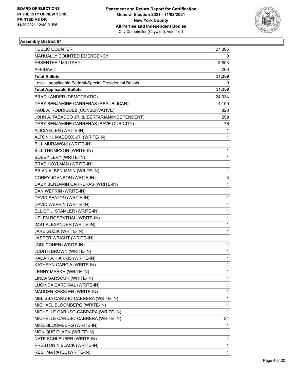

| PUBLIC COUNTER                                           | 27,306 |
|----------------------------------------------------------|--------|
| MANUALLY COUNTED EMERGENCY                               | 0      |
| <b>ABSENTEE / MILITARY</b>                               | 3,803  |
| AFFIDAVIT                                                | 260    |
| <b>Total Ballots</b>                                     | 31,369 |
| Less - Inapplicable Federal/Special Presidential Ballots | 0      |
| <b>Total Applicable Ballots</b>                          | 31,369 |
| <b>BRAD LANDER (DEMOCRATIC)</b>                          | 24,934 |
| DABY BENJAMINE CARRERAS (REPUBLICAN)                     | 4,100  |
| PAUL A. RODRIGUEZ (CONSERVATIVE)                         | 828    |
| JOHN A. TABACCO JR. (LIBERTARIAN/INDEPENDENT)            | 299    |
| DABY BENJAMINE CARRERAS (SAVE OUR CITY)                  | 76     |
| ALICIA GLEN (WRITE-IN)                                   | 1      |
| ALTON H. MADDOX JR. (WRITE-IN)                           | 1      |
| BILL MURAWSKI (WRITE-IN)                                 | 1      |
| BILL THOMPSON (WRITE-IN)                                 | 1      |
| <b>BOBBY LEVY (WRITE-IN)</b>                             | 1      |
| <b>BRAD HOYLMAN (WRITE-IN)</b>                           | 1      |
| BRIAN A. BENJAMIN (WRITE-IN)                             | 1      |
| COREY JOHNSON (WRITE-IN)                                 | 3      |
| DABY BENJAMIN CARRERAS (WRITE-IN)                        | 1      |
| DAN WEPRIN (WRITE-IN)                                    | 1      |
| DAVID SEATON (WRITE-IN)                                  | 1      |
| DAVID WEPRIN (WRITE-IN)                                  | 4      |
| ELLIOT J. STAMLER (WRITE-IN)                             | 1      |
| HELEN ROSENTHAL (WRITE-IN)                               | 1      |
| IMST ALEXANDER (WRITE-IN)                                | 1      |
| JAKE GUZIK (WRITE-IN)                                    | 1      |
| JASPER WRIGHT (WRITE-IN)                                 | 1      |
| JODI COHEN (WRITE-IN)                                    | 1      |
| JUDITH BROWN (WRITE-IN)                                  | 1      |
| KADAR A. HARRIS (WRITE-IN)                               | 1      |
| KATHRYN GARCIA (WRITE-IN)                                | 1      |
| LENNY MARKH (WRITE-IN)                                   | 1      |
| LINDA SARSOUR (WRITE-IN)                                 | 1      |
| LUCINDA CARDINAL (WRITE-IN)                              | 1      |
| MADDEN KESSLER (WRITE-IN)                                | 1      |
| MELISSA CARUSO-CABRERA (WRITE-IN)                        | 1      |
| MICHAEL BLOOMBERG (WRITE-IN)                             | 1      |
| MICHELLE CARUSO-CABRARA (WRITE-IN)                       | 1      |
| MICHELLE CARUSO-CABRERA (WRITE-IN)                       | 24     |
| MIKE BLOOMBERG (WRITE-IN)                                | 1      |
| MONIQUE CLARK (WRITE-IN)                                 | 1      |
| NATE SCHLEUBER (WRITE-IN)                                | 1      |
| PRESTON NIBLACK (WRITE-IN)                               | 1      |
| RESHMA PATEL (WRITE-IN)                                  | 1      |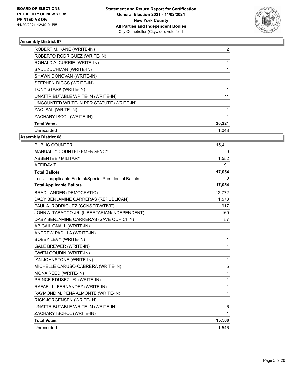

| ROBERT M. KANE (WRITE-IN)                 | 2      |
|-------------------------------------------|--------|
| ROBERTO RODRIGUEZ (WRITE-IN)              |        |
| RONALD A. CURRIE (WRITE-IN)               |        |
| SAUL ZUCHMAN (WRITE-IN)                   |        |
| SHAWN DONOVAN (WRITE-IN)                  |        |
| STEPHEN DIGGS (WRITE-IN)                  |        |
| TONY STARK (WRITE-IN)                     |        |
| UNATTRIBUTABLE WRITE-IN (WRITE-IN)        | 11     |
| UNCOUNTED WRITE-IN PER STATUTE (WRITE-IN) |        |
| ZAC ISAL (WRITE-IN)                       |        |
| ZACHARY ISCOL (WRITE-IN)                  |        |
| <b>Total Votes</b>                        | 30,321 |
| Unrecorded                                | 1.048  |

| PUBLIC COUNTER                                           | 15,411       |
|----------------------------------------------------------|--------------|
| MANUALLY COUNTED EMERGENCY                               | 0            |
| ABSENTEE / MILITARY                                      | 1,552        |
| <b>AFFIDAVIT</b>                                         | 91           |
| <b>Total Ballots</b>                                     | 17,054       |
| Less - Inapplicable Federal/Special Presidential Ballots | 0            |
| <b>Total Applicable Ballots</b>                          | 17,054       |
| <b>BRAD LANDER (DEMOCRATIC)</b>                          | 12,772       |
| DABY BENJAMINE CARRERAS (REPUBLICAN)                     | 1,578        |
| PAUL A. RODRIGUEZ (CONSERVATIVE)                         | 917          |
| JOHN A. TABACCO JR. (LIBERTARIAN/INDEPENDENT)            | 160          |
| DABY BENJAMINE CARRERAS (SAVE OUR CITY)                  | 57           |
| ABIGAIL GNALL (WRITE-IN)                                 | 1            |
| ANDREW PADILLA (WRITE-IN)                                | 1            |
| <b>BOBBY LEVY (WRITE-IN)</b>                             | $\mathbf{1}$ |
| <b>GALE BREWER (WRITE-IN)</b>                            | 1            |
| <b>GWEN GOUDIN (WRITE-IN)</b>                            | $\mathbf{1}$ |
| IAN JOHNSTONE (WRITE-IN)                                 | 1            |
| MICHELLE CARUSO-CABRERA (WRITE-IN)                       | 6            |
| MONA REED (WRITE-IN)                                     | $\mathbf{1}$ |
| PRINCE EDUSEZ JR. (WRITE-IN)                             | 1            |
| RAFAEL L. FERNANDEZ (WRITE-IN)                           | 1            |
| RAYMOND M. PENA ALMONTE (WRITE-IN)                       | 1            |
| RICK JORGENSEN (WRITE-IN)                                | 1            |
| UNATTRIBUTABLE WRITE-IN (WRITE-IN)                       | 6            |
| ZACHARY ISCHOL (WRITE-IN)                                | 1            |
| <b>Total Votes</b>                                       | 15,508       |
| Unrecorded                                               | 1.546        |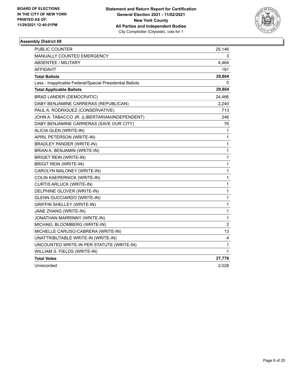

| PUBLIC COUNTER                                           | 25,146         |
|----------------------------------------------------------|----------------|
| MANUALLY COUNTED EMERGENCY                               | 3              |
| <b>ABSENTEE / MILITARY</b>                               | 4,464          |
| AFFIDAVIT                                                | 191            |
| <b>Total Ballots</b>                                     | 29,804         |
| Less - Inapplicable Federal/Special Presidential Ballots | 0              |
| <b>Total Applicable Ballots</b>                          | 29,804         |
| <b>BRAD LANDER (DEMOCRATIC)</b>                          | 24,466         |
| DABY BENJAMINE CARRERAS (REPUBLICAN)                     | 2,240          |
| PAUL A. RODRIGUEZ (CONSERVATIVE)                         | 713            |
| JOHN A. TABACCO JR. (LIBERTARIAN/INDEPENDENT)            | 246            |
| DABY BENJAMINE CARRERAS (SAVE OUR CITY)                  | 76             |
| ALICIA GLEN (WRITE-IN)                                   | 1              |
| APRIL PETERSON (WRITE-IN)                                | 1              |
| <b>BRADLEY PANDER (WRITE-IN)</b>                         | 1              |
| BRIAN A. BENJAMIN (WRITE-IN)                             | 1              |
| <b>BRIGET REIN (WRITE-IN)</b>                            | 1              |
| <b>BRIGIT REIN (WRITE-IN)</b>                            | 1              |
| CAROLYN MALONEY (WRITE-IN)                               | 1              |
| <b>COLIN KAEPERNICK (WRITE-IN)</b>                       | 1              |
| <b>CURTIS ARLUCK (WRITE-IN)</b>                          | 1              |
| DELPHINE GLOVER (WRITE-IN)                               | 1              |
| <b>GLENN GUCCIARDO (WRITE-IN)</b>                        | 1              |
| <b>GRIFFIN SHELLEY (WRITE-IN)</b>                        | 1              |
| JANE ZHANG (WRITE-IN)                                    | 1              |
| JONATHAN MARRINNY (WRITE-IN)                             | 1              |
| MICHAEL BLOOMBERG (WRITE-IN)                             | $\overline{c}$ |
| MICHELLE CARUSO-CABRERA (WRITE-IN)                       | 13             |
| UNATTRIBUTABLE WRITE-IN (WRITE-IN)                       | 4              |
| UNCOUNTED WRITE-IN PER STATUTE (WRITE-IN)                | 1              |
| WILLIAM S. FIELDS (WRITE-IN)                             | 1              |
| <b>Total Votes</b>                                       | 27,776         |
| Unrecorded                                               | 2,028          |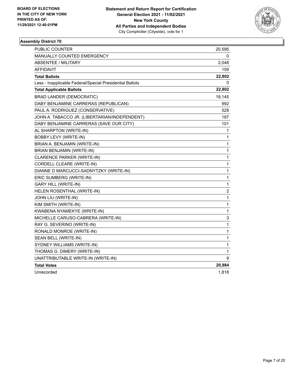

| <b>PUBLIC COUNTER</b>                                    | 20,595       |
|----------------------------------------------------------|--------------|
| <b>MANUALLY COUNTED EMERGENCY</b>                        | 0            |
| <b>ABSENTEE / MILITARY</b>                               | 2,048        |
| AFFIDAVIT                                                | 159          |
| <b>Total Ballots</b>                                     | 22,802       |
| Less - Inapplicable Federal/Special Presidential Ballots | 0            |
| <b>Total Applicable Ballots</b>                          | 22,802       |
| <b>BRAD LANDER (DEMOCRATIC)</b>                          | 19,145       |
| DABY BENJAMINE CARRERAS (REPUBLICAN)                     | 992          |
| PAUL A. RODRIGUEZ (CONSERVATIVE)                         | 528          |
| JOHN A. TABACCO JR. (LIBERTARIAN/INDEPENDENT)            | 187          |
| DABY BENJAMINE CARRERAS (SAVE OUR CITY)                  | 101          |
| AL SHARPTON (WRITE-IN)                                   | 1            |
| <b>BOBBY LEVY (WRITE-IN)</b>                             | 1            |
| BRIAN A. BENJAMIN (WRITE-IN)                             | 1            |
| BRIAN BENJAMIN (WRITE-IN)                                | 1            |
| CLARENCE PARKER (WRITE-IN)                               | 1            |
| CORDELL CLEARE (WRITE-IN)                                | 1            |
| DIANNE D MARCUCCI-SADNYTZKY (WRITE-IN)                   | $\mathbf{1}$ |
| ERIC SUMBERG (WRITE-IN)                                  | 1            |
| <b>GARY HILL (WRITE-IN)</b>                              | $\mathbf{1}$ |
| HELEN ROSENTHAL (WRITE-IN)                               | 2            |
| JOHN LIU (WRITE-IN)                                      | $\mathbf{1}$ |
| KIM SMITH (WRITE-IN)                                     | $\mathbf{1}$ |
| KWABENA NYAMEKYE (WRITE-IN)                              | 1            |
| MICHELLE CARUSO-CABRERA (WRITE-IN)                       | 3            |
| RAY G. SEVERINO (WRITE-IN)                               | $\mathbf{1}$ |
| RONALD MONROE (WRITE-IN)                                 | 1            |
| SEAN BELL (WRITE-IN)                                     | 1            |
| SYDNEY WILLIAMS (WRITE-IN)                               | 1            |
| THOMAS G. DIMERY (WRITE-IN)                              | 1            |
| UNATTRIBUTABLE WRITE-IN (WRITE-IN)                       | 9            |
| <b>Total Votes</b>                                       | 20,984       |
| Unrecorded                                               | 1,818        |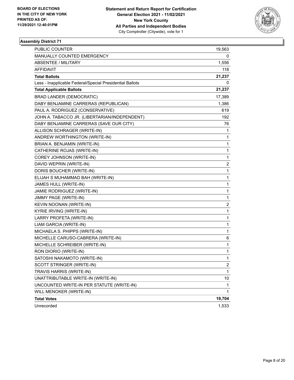

| <b>PUBLIC COUNTER</b>                                    | 19,563         |
|----------------------------------------------------------|----------------|
| MANUALLY COUNTED EMERGENCY                               | 0              |
| <b>ABSENTEE / MILITARY</b>                               | 1,556          |
| AFFIDAVIT                                                | 118            |
| <b>Total Ballots</b>                                     | 21,237         |
| Less - Inapplicable Federal/Special Presidential Ballots | 0              |
| <b>Total Applicable Ballots</b>                          | 21,237         |
| <b>BRAD LANDER (DEMOCRATIC)</b>                          | 17,389         |
| DABY BENJAMINE CARRERAS (REPUBLICAN)                     | 1,386          |
| PAUL A. RODRIGUEZ (CONSERVATIVE)                         | 619            |
| JOHN A. TABACCO JR. (LIBERTARIAN/INDEPENDENT)            | 192            |
| DABY BENJAMINE CARRERAS (SAVE OUR CITY)                  | 76             |
| ALLISON SCHRAGER (WRITE-IN)                              | 1              |
| ANDREW WORTHINGTON (WRITE-IN)                            | 1              |
| BRIAN A. BENJAMIN (WRITE-IN)                             | 1              |
| CATHERINE ROJAS (WRITE-IN)                               | 1              |
| COREY JOHNSON (WRITE-IN)                                 | 1              |
| DAVID WEPRIN (WRITE-IN)                                  | 2              |
| DORIS BOUCHER (WRITE-IN)                                 | 1              |
| ELIJAH S MUHAMMAD BAH (WRITE-IN)                         | 1              |
| JAMES HULL (WRITE-IN)                                    | 1              |
| JAMIE RODRIGUEZ (WRITE-IN)                               | 1              |
| JIMMY PAGE (WRITE-IN)                                    | 1              |
| KEVIN NOONAN (WRITE-IN)                                  | 2              |
| <b>KYRIE IRVING (WRITE-IN)</b>                           | 1              |
| LARRY PROFETA (WRITE-IN)                                 | 1              |
| LIAM GARCIA (WRITE-IN)                                   | 1              |
| MICHAELA S. PHIPPS (WRITE-IN)                            | 1              |
| MICHELLE CARUSO-CABRERA (WRITE-IN)                       | 6              |
| MICHELLE SCHREIBER (WRITE-IN)                            | 1              |
| RON DIORIO (WRITE-IN)                                    | 1              |
| SATOSHI NAKAMOTO (WRITE-IN)                              | 1              |
| SCOTT STRINGER (WRITE-IN)                                | $\overline{c}$ |
| TRAVIS HARRIS (WRITE-IN)                                 | 1              |
| UNATTRIBUTABLE WRITE-IN (WRITE-IN)                       | 10             |
| UNCOUNTED WRITE-IN PER STATUTE (WRITE-IN)                | 1              |
| WILL MENOKER (WRITE-IN)                                  | 1              |
| <b>Total Votes</b>                                       | 19,704         |
| Unrecorded                                               | 1,533          |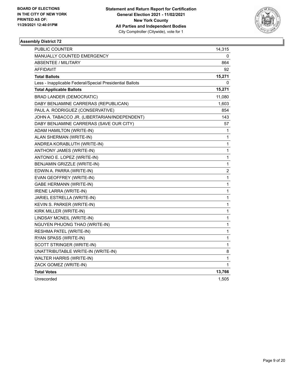

| <b>PUBLIC COUNTER</b>                                    | 14,315                  |
|----------------------------------------------------------|-------------------------|
| <b>MANUALLY COUNTED EMERGENCY</b>                        | 0                       |
| ABSENTEE / MILITARY                                      | 864                     |
| <b>AFFIDAVIT</b>                                         | 92                      |
| <b>Total Ballots</b>                                     | 15,271                  |
| Less - Inapplicable Federal/Special Presidential Ballots | 0                       |
| <b>Total Applicable Ballots</b>                          | 15,271                  |
| <b>BRAD LANDER (DEMOCRATIC)</b>                          | 11,080                  |
| DABY BENJAMINE CARRERAS (REPUBLICAN)                     | 1,603                   |
| PAUL A. RODRIGUEZ (CONSERVATIVE)                         | 854                     |
| JOHN A. TABACCO JR. (LIBERTARIAN/INDEPENDENT)            | 143                     |
| DABY BENJAMINE CARRERAS (SAVE OUR CITY)                  | 57                      |
| ADAM HAMILTON (WRITE-IN)                                 | 1                       |
| ALAN SHERMAN (WRITE-IN)                                  | 1                       |
| ANDREA KORABLUTH (WRITE-IN)                              | 1                       |
| ANTHONY JAMES (WRITE-IN)                                 | 1                       |
| ANTONIO E. LOPEZ (WRITE-IN)                              | 1                       |
| BENJAMIN GRIZZLE (WRITE-IN)                              | 1                       |
| EDWIN A. PARRA (WRITE-IN)                                | $\overline{\mathbf{c}}$ |
| EVAN GEOFFREY (WRITE-IN)                                 | 1                       |
| <b>GABE HERMANN (WRITE-IN)</b>                           | 1                       |
| <b>IRENE LARRA (WRITE-IN)</b>                            | $\mathbf{1}$            |
| JARIEL ESTRELLA (WRITE-IN)                               | 1                       |
| KEVIN S. PARKER (WRITE-IN)                               | 1                       |
| KIRK MILLER (WRITE-IN)                                   | 1                       |
| LINDSAY MCNEIL (WRITE-IN)                                | 1                       |
| NGUYEN PHUONG THAO (WRITE-IN)                            | 1                       |
| RESHMA PATEL (WRITE-IN)                                  | 1                       |
| RYAN SPASS (WRITE-IN)                                    | 1                       |
| SCOTT STRINGER (WRITE-IN)                                | 1                       |
| UNATTRIBUTABLE WRITE-IN (WRITE-IN)                       | 8                       |
| WALTER HARRIS (WRITE-IN)                                 | 1                       |
| ZACK GOMEZ (WRITE-IN)                                    | 1                       |
| <b>Total Votes</b>                                       | 13,766                  |
| Unrecorded                                               | 1,505                   |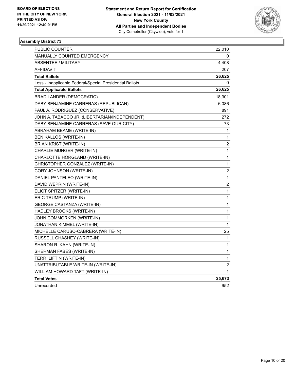

| PUBLIC COUNTER                                           | 22,010                  |
|----------------------------------------------------------|-------------------------|
| <b>MANUALLY COUNTED EMERGENCY</b>                        | 0                       |
| ABSENTEE / MILITARY                                      | 4,408                   |
| <b>AFFIDAVIT</b>                                         | 207                     |
| <b>Total Ballots</b>                                     | 26,625                  |
| Less - Inapplicable Federal/Special Presidential Ballots | $\Omega$                |
| <b>Total Applicable Ballots</b>                          | 26,625                  |
| <b>BRAD LANDER (DEMOCRATIC)</b>                          | 18,301                  |
| DABY BENJAMINE CARRERAS (REPUBLICAN)                     | 6,086                   |
| PAUL A. RODRIGUEZ (CONSERVATIVE)                         | 891                     |
| JOHN A. TABACCO JR. (LIBERTARIAN/INDEPENDENT)            | 272                     |
| DABY BENJAMINE CARRERAS (SAVE OUR CITY)                  | 73                      |
| ABRAHAM BEAME (WRITE-IN)                                 | 1                       |
| BEN KALLOS (WRITE-IN)                                    | 1                       |
| <b>BRIAN KRIST (WRITE-IN)</b>                            | $\overline{\mathbf{c}}$ |
| CHARLIE MUNGER (WRITE-IN)                                | 1                       |
| CHARLOTTE HORGLAND (WRITE-IN)                            | 1                       |
| CHRISTOPHER GONZALEZ (WRITE-IN)                          | 1                       |
| CORY JOHNSON (WRITE-IN)                                  | $\overline{\mathbf{c}}$ |
| DANIEL PANTELEO (WRITE-IN)                               | 1                       |
| DAVID WEPRIN (WRITE-IN)                                  | $\overline{\mathbf{c}}$ |
| ELIOT SPITZER (WRITE-IN)                                 | 1                       |
| ERIC TRUMP (WRITE-IN)                                    | 1                       |
| <b>GEORGE CASTANZA (WRITE-IN)</b>                        | 1                       |
| HADLEY BROOKS (WRITE-IN)                                 | 1                       |
| JOHN COMMORKEN (WRITE-IN)                                | 1                       |
| JONATHAN KIMMEL (WRITE-IN)                               | 1                       |
| MICHELLE CARUSO-CABRERA (WRITE-IN)                       | 25                      |
| RUSSELL CHASHEY (WRITE-IN)                               | 1                       |
| SHARON R. KAHN (WRITE-IN)                                | 1                       |
| SHERMAN FABES (WRITE-IN)                                 | 1                       |
| TERRI LIFTIN (WRITE-IN)                                  | 1                       |
| UNATTRIBUTABLE WRITE-IN (WRITE-IN)                       | 2                       |
| WILLIAM HOWARD TAFT (WRITE-IN)                           | 1                       |
| <b>Total Votes</b>                                       | 25,673                  |
| Unrecorded                                               | 952                     |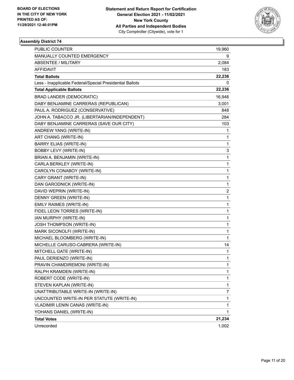

| <b>PUBLIC COUNTER</b>                                    | 19,960       |
|----------------------------------------------------------|--------------|
| MANUALLY COUNTED EMERGENCY                               | 9            |
| ABSENTEE / MILITARY                                      | 2,084        |
| AFFIDAVIT                                                | 183          |
| <b>Total Ballots</b>                                     | 22,236       |
| Less - Inapplicable Federal/Special Presidential Ballots | 0            |
| <b>Total Applicable Ballots</b>                          | 22,236       |
| <b>BRAD LANDER (DEMOCRATIC)</b>                          | 16,948       |
| DABY BENJAMINE CARRERAS (REPUBLICAN)                     | 3,001        |
| PAUL A. RODRIGUEZ (CONSERVATIVE)                         | 848          |
| JOHN A. TABACCO JR. (LIBERTARIAN/INDEPENDENT)            | 284          |
| DABY BENJAMINE CARRERAS (SAVE OUR CITY)                  | 103          |
| ANDREW YANG (WRITE-IN)                                   | 1            |
| ART CHANG (WRITE-IN)                                     | 1            |
| <b>BARRY ELIAS (WRITE-IN)</b>                            | 1            |
| BOBBY LEVY (WRITE-IN)                                    | 3            |
| BRIAN A. BENJAMIN (WRITE-IN)                             | 1            |
| CARLA BERKLEY (WRITE-IN)                                 | 1            |
| CAROLYN CONABOY (WRITE-IN)                               | 1            |
| CARY GRANT (WRITE-IN)                                    | 1            |
| DAN GARODNICK (WRITE-IN)                                 | 1            |
| DAVID WEPRIN (WRITE-IN)                                  | 2            |
| DENNY GREEN (WRITE-IN)                                   | 1            |
| EMILY RAIMES (WRITE-IN)                                  | 1            |
| FIDEL LEON TORRES (WRITE-IN)                             | 1            |
| IAN MURPHY (WRITE-IN)                                    | 1            |
| <b>JOSH THOMPSON (WRITE-IN)</b>                          | 1            |
| MARK SICONOLFI (WRITE-IN)                                | 1            |
| MICHAEL BLOOMBERG (WRITE-IN)                             | 1            |
| MICHELLE CARUSO-CABRERA (WRITE-IN)                       | 14           |
| MITCHELL GATE (WRITE-IN)                                 | 1            |
| PAUL DERIENZO (WRITE-IN)                                 | $\mathbf{1}$ |
| PRAVIN CHAMDIREMONI (WRITE-IN)                           | 1            |
| RALPH KRAMDEN (WRITE-IN)                                 | 1            |
| ROBERT CODE (WRITE-IN)                                   | 1            |
| STEVEN KAPLAN (WRITE-IN)                                 | 1            |
| UNATTRIBUTABLE WRITE-IN (WRITE-IN)                       | 7            |
| UNCOUNTED WRITE-IN PER STATUTE (WRITE-IN)                | 1            |
| VLADIMIR LENIN CANAS (WRITE-IN)                          | 1            |
| YOHANS DANIEL (WRITE-IN)                                 | 1            |
| <b>Total Votes</b>                                       | 21,234       |
| Unrecorded                                               | 1,002        |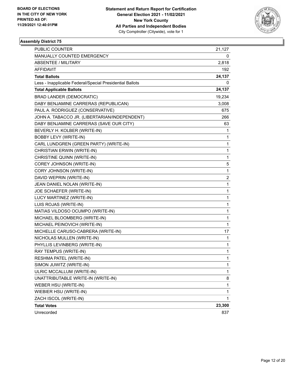

| <b>PUBLIC COUNTER</b>                                    | 21,127       |
|----------------------------------------------------------|--------------|
| MANUALLY COUNTED EMERGENCY                               | 0            |
| ABSENTEE / MILITARY                                      | 2,818        |
| AFFIDAVIT                                                | 192          |
| <b>Total Ballots</b>                                     | 24,137       |
| Less - Inapplicable Federal/Special Presidential Ballots | 0            |
| <b>Total Applicable Ballots</b>                          | 24,137       |
| <b>BRAD LANDER (DEMOCRATIC)</b>                          | 19,234       |
| DABY BENJAMINE CARRERAS (REPUBLICAN)                     | 3,008        |
| PAUL A. RODRIGUEZ (CONSERVATIVE)                         | 675          |
| JOHN A. TABACCO JR. (LIBERTARIAN/INDEPENDENT)            | 266          |
| DABY BENJAMINE CARRERAS (SAVE OUR CITY)                  | 63           |
| BEVERLY H. KOLBER (WRITE-IN)                             | 1            |
| <b>BOBBY LEVY (WRITE-IN)</b>                             | 1            |
| CARL LUNDGREN (GREEN PARTY) (WRITE-IN)                   | 1            |
| CHRISTIAN ERWIN (WRITE-IN)                               | 1            |
| CHRISTINE QUINN (WRITE-IN)                               | 1            |
| COREY JOHNSON (WRITE-IN)                                 | 5            |
| CORY JOHNSON (WRITE-IN)                                  | 1            |
| DAVID WEPRIN (WRITE-IN)                                  | 2            |
| JEAN DANIEL NOLAN (WRITE-IN)                             | 1            |
| JOE SCHAEFER (WRITE-IN)                                  | 1            |
| LUCY MARTINEZ (WRITE-IN)                                 | 1            |
| LUIS ROJAS (WRITE-IN)                                    | 1            |
| MATIAS VILDOSO OCUMPO (WRITE-IN)                         | 1            |
| MICHAEL BLOOMBERG (WRITE-IN)                             | 1            |
| MICHAEL PEINOVICH (WRITE-IN)                             | $\mathbf{1}$ |
| MICHELLE CARUSO-CABRERA (WRITE-IN)                       | 17           |
| NICHOLAS MULLEN (WRITE-IN)                               | 1            |
| PHYLLIS LEVINBERG (WRITE-IN)                             | 1            |
| RAY TEMPUS (WRITE-IN)                                    | 1            |
| RESHMA PATEL (WRITE-IN)                                  | 1            |
| SIMON JUWITZ (WRITE-IN)                                  | 1            |
| ULRIC MCCALLUM (WRITE-IN)                                | 1            |
| UNATTRIBUTABLE WRITE-IN (WRITE-IN)                       | 8            |
| WEBER HSU (WRITE-IN)                                     | 1            |
| WIEBIER HSU (WRITE-IN)                                   | 1            |
| ZACH ISCOL (WRITE-IN)                                    | 1            |
| <b>Total Votes</b>                                       | 23,300       |
| Unrecorded                                               | 837          |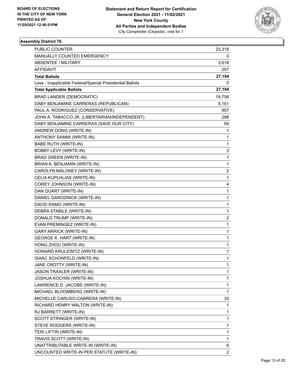

| PUBLIC COUNTER                                           | 23,319         |
|----------------------------------------------------------|----------------|
| MANUALLY COUNTED EMERGENCY                               | 0              |
| ABSENTEE / MILITARY                                      | 3,618          |
| AFFIDAVIT                                                | 257            |
| <b>Total Ballots</b>                                     | 27,194         |
| Less - Inapplicable Federal/Special Presidential Ballots | 0              |
| <b>Total Applicable Ballots</b>                          | 27,194         |
| <b>BRAD LANDER (DEMOCRATIC)</b>                          | 19,756         |
| DABY BENJAMINE CARRERAS (REPUBLICAN)                     | 5,161          |
| PAUL A. RODRIGUEZ (CONSERVATIVE)                         | 907            |
| JOHN A. TABACCO JR. (LIBERTARIAN/INDEPENDENT)            | 288            |
| DABY BENJAMINE CARRERAS (SAVE OUR CITY)                  | 95             |
| ANDREW DONG (WRITE-IN)                                   | 1              |
| ANTHONY SAMMI (WRITE-IN)                                 | 1              |
| <b>BABE RUTH (WRITE-IN)</b>                              | 1              |
| BOBBY LEVY (WRITE-IN)                                    | 3              |
| <b>BRAD GREEN (WRITE-IN)</b>                             | 1              |
| BRIAN A. BENJAMIN (WRITE-IN)                             | $\mathbf{1}$   |
| CAROLYN MALONEY (WRITE-IN)                               | 2              |
| CELIA KUPLHLIAS (WRITE-IN)                               | $\mathbf{1}$   |
| COREY JOHNSON (WRITE-IN)                                 | 4              |
| DAN QUART (WRITE-IN)                                     | 1              |
| DANIEL GARODNICK (WRITE-IN)                              | 1              |
| DAVID RAMO (WRITE-IN)                                    | 1              |
| DEBRA STABILE (WRITE-IN)                                 | 1              |
| DONALD TRUMP (WRITE-IN)                                  | 2              |
| EVAN PREMINGEZ (WRITE-IN)                                | $\mathbf{1}$   |
| <b>GARY ARRICK (WRITE-IN)</b>                            | 1              |
| <b>GEORGE K. HART (WRITE-IN)</b>                         | 1              |
| HONG ZHOU (WRITE-IN)                                     | 1              |
| HOWARD KRULEWITZ (WRITE-IN)                              | 1              |
| ISAAC SCHONFELD (WRITE-IN)                               | 1              |
| JANE CROTTY (WRITE-IN)                                   | 1              |
| <b>JASON TRAXLER (WRITE-IN)</b>                          | 1              |
| <b>JOSHUA KOCHIN (WRITE-IN)</b>                          | 1              |
| LAWRENCE D. JACOBS (WRITE-IN)                            | 1              |
| MICHAEL BLOOMBERG (WRITE-IN)                             | 1              |
| MICHELLE CARUSO-CABRERA (WRITE-IN)                       | 33             |
| RICHARD HENRY WALTON (WRITE-IN)                          | 1              |
| RJ BARRETT (WRITE-IN)                                    | 1              |
| SCOTT STRINGER (WRITE-IN)                                | 1              |
| STEVE RODGERS (WRITE-IN)                                 | 1              |
| TERI LIFTIN (WRITE-IN)                                   | 1              |
| TRAVIS SCOTT (WRITE-IN)                                  | 1              |
| UNATTRIBUTABLE WRITE-IN (WRITE-IN)                       | 6              |
| UNCOUNTED WRITE-IN PER STATUTE (WRITE-IN)                | $\overline{c}$ |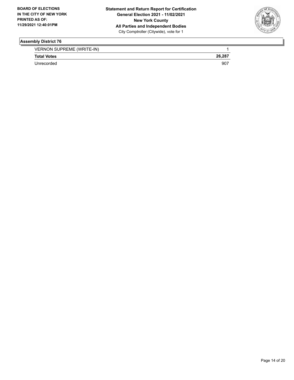

VERNON SUPREME (WRITE-IN) 1

**Total Votes 26,287** 

Unrecorded 907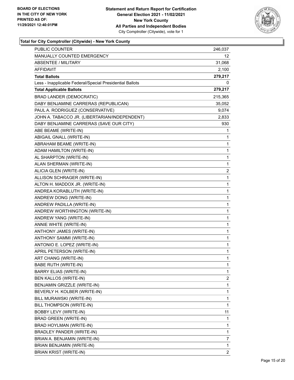

| PUBLIC COUNTER                                           | 246,037                 |
|----------------------------------------------------------|-------------------------|
| MANUALLY COUNTED EMERGENCY                               | 12                      |
| <b>ABSENTEE / MILITARY</b>                               | 31,068                  |
| <b>AFFIDAVIT</b>                                         | 2,100                   |
| <b>Total Ballots</b>                                     | 279,217                 |
| Less - Inapplicable Federal/Special Presidential Ballots | 0                       |
| <b>Total Applicable Ballots</b>                          | 279,217                 |
| <b>BRAD LANDER (DEMOCRATIC)</b>                          | 215,365                 |
| DABY BENJAMINE CARRERAS (REPUBLICAN)                     | 35,052                  |
| PAUL A. RODRIGUEZ (CONSERVATIVE)                         | 9,074                   |
| JOHN A. TABACCO JR. (LIBERTARIAN/INDEPENDENT)            | 2,833                   |
| DABY BENJAMINE CARRERAS (SAVE OUR CITY)                  | 930                     |
| ABE BEAME (WRITE-IN)                                     | 1                       |
| ABIGAIL GNALL (WRITE-IN)                                 | 1                       |
| ABRAHAM BEAME (WRITE-IN)                                 | 1                       |
| ADAM HAMILTON (WRITE-IN)                                 | 1                       |
| AL SHARPTON (WRITE-IN)                                   | 1                       |
| ALAN SHERMAN (WRITE-IN)                                  | 1                       |
| ALICIA GLEN (WRITE-IN)                                   | 2                       |
| ALLISON SCHRAGER (WRITE-IN)                              | 1                       |
| ALTON H. MADDOX JR. (WRITE-IN)                           | 1                       |
| ANDREA KORABLUTH (WRITE-IN)                              | 1                       |
| ANDREW DONG (WRITE-IN)                                   | 1                       |
| ANDREW PADILLA (WRITE-IN)                                | 1                       |
| ANDREW WORTHINGTON (WRITE-IN)                            | 1                       |
| ANDREW YANG (WRITE-IN)                                   | 1                       |
| ANNIE WHITE (WRITE-IN)                                   | 1                       |
| ANTHONY JAMES (WRITE-IN)                                 | 1                       |
| ANTHONY SAMMI (WRITE-IN)                                 | 1                       |
| ANTONIO E. LOPEZ (WRITE-IN)                              | 1                       |
| APRIL PETERSON (WRITE-IN)                                | 1                       |
| ART CHANG (WRITE-IN)                                     | $\mathbf{1}$            |
| BABE RUTH (WRITE-IN)                                     | 1                       |
| <b>BARRY ELIAS (WRITE-IN)</b>                            | 1                       |
| BEN KALLOS (WRITE-IN)                                    | $\overline{\mathbf{c}}$ |
| BENJAMIN GRIZZLE (WRITE-IN)                              | 1                       |
| BEVERLY H. KOLBER (WRITE-IN)                             | 1                       |
| BILL MURAWSKI (WRITE-IN)                                 | 1                       |
| BILL THOMPSON (WRITE-IN)                                 | 1                       |
| BOBBY LEVY (WRITE-IN)                                    | 11                      |
| BRAD GREEN (WRITE-IN)                                    | 1                       |
| BRAD HOYLMAN (WRITE-IN)                                  | 1                       |
| BRADLEY PANDER (WRITE-IN)                                | 1                       |
| BRIAN A. BENJAMIN (WRITE-IN)                             | 7                       |
| BRIAN BENJAMIN (WRITE-IN)                                | 1                       |
| BRIAN KRIST (WRITE-IN)                                   | $\overline{2}$          |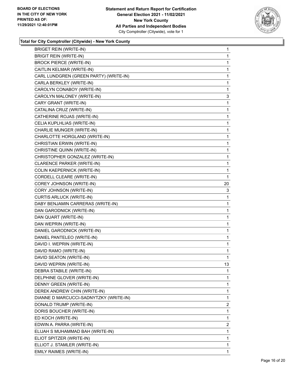

| <b>BRIGET REIN (WRITE-IN)</b>          | $\mathbf{1}$   |
|----------------------------------------|----------------|
| <b>BRIGIT REIN (WRITE-IN)</b>          | 1              |
| <b>BROCK PIERCE (WRITE-IN)</b>         | 1              |
| CAITLIN KELMAR (WRITE-IN)              | $\mathbf 1$    |
| CARL LUNDGREN (GREEN PARTY) (WRITE-IN) | 1              |
| CARLA BERKLEY (WRITE-IN)               | 1              |
| CAROLYN CONABOY (WRITE-IN)             | $\mathbf{1}$   |
| CAROLYN MALONEY (WRITE-IN)             | 3              |
| CARY GRANT (WRITE-IN)                  | 1              |
| CATALINA CRUZ (WRITE-IN)               | $\mathbf{1}$   |
| CATHERINE ROJAS (WRITE-IN)             | 1              |
| CELIA KUPLHLIAS (WRITE-IN)             | 1              |
| CHARLIE MUNGER (WRITE-IN)              | $\mathbf{1}$   |
| CHARLOTTE HORGLAND (WRITE-IN)          | 1              |
| CHRISTIAN ERWIN (WRITE-IN)             | 1              |
| CHRISTINE QUINN (WRITE-IN)             | $\mathbf{1}$   |
| CHRISTOPHER GONZALEZ (WRITE-IN)        | 1              |
| CLARENCE PARKER (WRITE-IN)             | 1              |
| COLIN KAEPERNICK (WRITE-IN)            | $\mathbf{1}$   |
| CORDELL CLEARE (WRITE-IN)              | 1              |
| COREY JOHNSON (WRITE-IN)               | 20             |
| CORY JOHNSON (WRITE-IN)                | 3              |
| CURTIS ARLUCK (WRITE-IN)               | 1              |
| DABY BENJAMIN CARRERAS (WRITE-IN)      | 1              |
| DAN GARODNICK (WRITE-IN)               | $\mathbf{1}$   |
| DAN QUART (WRITE-IN)                   | 1              |
| DAN WEPRIN (WRITE-IN)                  | $\mathbf 1$    |
| DANIEL GARODNICK (WRITE-IN)            | $\mathbf{1}$   |
| DANIEL PANTELEO (WRITE-IN)             | 1              |
| DAVID I. WEPRIN (WRITE-IN)             | 1              |
| DAVID RAMO (WRITE-IN)                  | $\mathbf{1}$   |
| DAVID SEATON (WRITE-IN)                | 1              |
| DAVID WEPRIN (WRITE-IN)                | 13             |
| DEBRA STABILE (WRITE-IN)               | 1              |
| DELPHINE GLOVER (WRITE-IN)             | 1              |
| DENNY GREEN (WRITE-IN)                 | 1              |
| DEREK ANDREW CHIN (WRITE-IN)           | 1              |
| DIANNE D MARCUCCI-SADNYTZKY (WRITE-IN) | 1              |
| DONALD TRUMP (WRITE-IN)                | $\overline{2}$ |
| DORIS BOUCHER (WRITE-IN)               | 1              |
| ED KOCH (WRITE-IN)                     | 1              |
| EDWIN A. PARRA (WRITE-IN)              | $\overline{2}$ |
| ELIJAH S MUHAMMAD BAH (WRITE-IN)       | 1              |
| ELIOT SPITZER (WRITE-IN)               | 1              |
| ELLIOT J. STAMLER (WRITE-IN)           | 1              |
| EMILY RAIMES (WRITE-IN)                | $\mathbf{1}$   |
|                                        |                |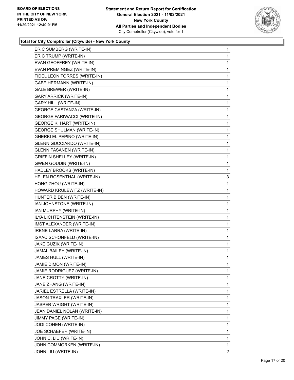

| ERIC SUMBERG (WRITE-IN)            | 1              |
|------------------------------------|----------------|
| ERIC TRUMP (WRITE-IN)              | 1              |
| EVAN GEOFFREY (WRITE-IN)           | 1              |
| EVAN PREMINGEZ (WRITE-IN)          | 1              |
| FIDEL LEON TORRES (WRITE-IN)       | 1              |
| <b>GABE HERMANN (WRITE-IN)</b>     | 1              |
| GALE BREWER (WRITE-IN)             | 1              |
| <b>GARY ARRICK (WRITE-IN)</b>      | 1              |
| <b>GARY HILL (WRITE-IN)</b>        | 1              |
| <b>GEORGE CASTANZA (WRITE-IN)</b>  | 1              |
| <b>GEORGE FARIWACCI (WRITE-IN)</b> | 1              |
| <b>GEORGE K. HART (WRITE-IN)</b>   | 1              |
| <b>GEORGE SHULMAN (WRITE-IN)</b>   | 1              |
| GHERKI EL PEPINO (WRITE-IN)        | 1              |
| <b>GLENN GUCCIARDO (WRITE-IN)</b>  | 1              |
| <b>GLENN PASANEN (WRITE-IN)</b>    | 1              |
| <b>GRIFFIN SHELLEY (WRITE-IN)</b>  | 1              |
| <b>GWEN GOUDIN (WRITE-IN)</b>      | 1              |
| HADLEY BROOKS (WRITE-IN)           | 1              |
| HELEN ROSENTHAL (WRITE-IN)         | 3              |
| HONG ZHOU (WRITE-IN)               | 1              |
| HOWARD KRULEWITZ (WRITE-IN)        | 1              |
| HUNTER BIDEN (WRITE-IN)            | 1              |
| IAN JOHNSTONE (WRITE-IN)           | 1              |
| IAN MURPHY (WRITE-IN)              | 1              |
| ILYA LICHTENSTEIN (WRITE-IN)       | 1              |
| IMST ALEXANDER (WRITE-IN)          | 1              |
| <b>IRENE LARRA (WRITE-IN)</b>      | 1              |
| ISAAC SCHONFELD (WRITE-IN)         | 1              |
| JAKE GUZIK (WRITE-IN)              | 1              |
| JAMAL BAILEY (WRITE-IN)            | 1              |
| JAMES HULL (WRITE-IN)              | 1              |
| JAMIE DIMON (WRITE-IN)             | 1              |
| JAMIE RODRIGUEZ (WRITE-IN)         | 1              |
| JANE CROTTY (WRITE-IN)             | 1              |
| JANE ZHANG (WRITE-IN)              | 1              |
| JARIEL ESTRELLA (WRITE-IN)         | 1              |
| JASON TRAXLER (WRITE-IN)           | 1              |
| JASPER WRIGHT (WRITE-IN)           | 1              |
| JEAN DANIEL NOLAN (WRITE-IN)       | 1              |
| JIMMY PAGE (WRITE-IN)              | 1              |
| JODI COHEN (WRITE-IN)              | 1              |
| JOE SCHAEFER (WRITE-IN)            | 1              |
| JOHN C. LIU (WRITE-IN)             | 1              |
| JOHN COMMORKEN (WRITE-IN)          | 1              |
| JOHN LIU (WRITE-IN)                | $\overline{2}$ |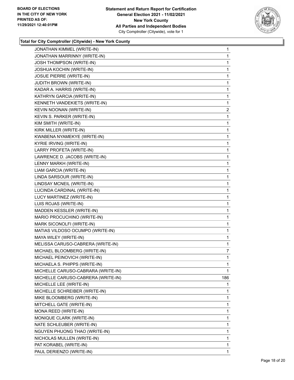

| JONATHAN KIMMEL (WRITE-IN)         | $\mathbf{1}$ |
|------------------------------------|--------------|
| JONATHAN MARRINNY (WRITE-IN)       | 1            |
| <b>JOSH THOMPSON (WRITE-IN)</b>    | 1            |
| JOSHUA KOCHIN (WRITE-IN)           | 1            |
| <b>JOSUE PIERRE (WRITE-IN)</b>     | 1            |
| JUDITH BROWN (WRITE-IN)            | 1            |
| KADAR A. HARRIS (WRITE-IN)         | 1            |
| KATHRYN GARCIA (WRITE-IN)          | 1            |
| KENNETH VANDEKIETS (WRITE-IN)      | 1            |
| KEVIN NOONAN (WRITE-IN)            | 2            |
| KEVIN S. PARKER (WRITE-IN)         | 1            |
| KIM SMITH (WRITE-IN)               | 1            |
| KIRK MILLER (WRITE-IN)             | 1            |
| KWABENA NYAMEKYE (WRITE-IN)        | 1            |
| KYRIE IRVING (WRITE-IN)            | 1            |
| LARRY PROFETA (WRITE-IN)           | 1            |
| LAWRENCE D. JACOBS (WRITE-IN)      | 1            |
| LENNY MARKH (WRITE-IN)             | 1            |
| LIAM GARCIA (WRITE-IN)             | 1            |
| LINDA SARSOUR (WRITE-IN)           | $\mathbf 1$  |
| LINDSAY MCNEIL (WRITE-IN)          | 1            |
| LUCINDA CARDINAL (WRITE-IN)        | 1            |
| LUCY MARTINEZ (WRITE-IN)           | 1            |
| LUIS ROJAS (WRITE-IN)              | 1            |
| MADDEN KESSLER (WRITE-IN)          | 1            |
| MARIO PROCUCHINO (WRITE-IN)        | 1            |
| MARK SICONOLFI (WRITE-IN)          | 1            |
| MATIAS VILDOSO OCUMPO (WRITE-IN)   | 1            |
| MAYA WILEY (WRITE-IN)              | 1            |
| MELISSA CARUSO-CABRERA (WRITE-IN)  | 1            |
| MICHAEL BLOOMBERG (WRITE-IN)       | 7            |
| MICHAEL PEINOVICH (WRITE-IN)       | 1            |
| MICHAELA S. PHIPPS (WRITE-IN)      | 1            |
| MICHELLE CARUSO-CABRARA (WRITE-IN) | 1            |
| MICHELLE CARUSO-CABRERA (WRITE-IN) | 186          |
| MICHELLE LEE (WRITE-IN)            | 1            |
| MICHELLE SCHREIBER (WRITE-IN)      | 1            |
| MIKE BLOOMBERG (WRITE-IN)          | 1            |
| MITCHELL GATE (WRITE-IN)           | 1            |
| MONA REED (WRITE-IN)               | 1            |
| MONIQUE CLARK (WRITE-IN)           | 1            |
| NATE SCHLEUBER (WRITE-IN)          | 1            |
| NGUYEN PHUONG THAO (WRITE-IN)      | 1            |
| NICHOLAS MULLEN (WRITE-IN)         | 1            |
| PAT KORABEL (WRITE-IN)             | 1            |
| PAUL DERIENZO (WRITE-IN)           | 1            |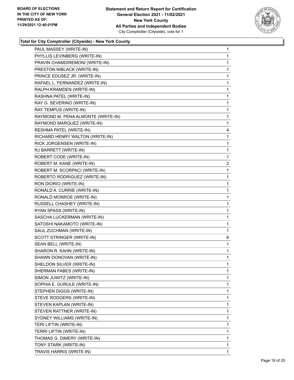

٠

| PAUL MASSEY (WRITE-IN)             | 1 |
|------------------------------------|---|
| PHYLLIS LEVINBERG (WRITE-IN)       | 1 |
| PRAVIN CHAMDIREMONI (WRITE-IN)     | 1 |
| PRESTON NIBLACK (WRITE-IN)         | 1 |
| PRINCE EDUSEZ JR. (WRITE-IN)       | 1 |
| RAFAEL L. FERNANDEZ (WRITE-IN)     | 1 |
| RALPH KRAMDEN (WRITE-IN)           | 1 |
| RASHNA PATEL (WRITE-IN)            | 1 |
| RAY G. SEVERINO (WRITE-IN)         | 1 |
| RAY TEMPUS (WRITE-IN)              | 1 |
| RAYMOND M. PENA ALMONTE (WRITE-IN) | 1 |
| RAYMOND MARQUEZ (WRITE-IN)         | 1 |
| RESHMA PATEL (WRITE-IN)            | 4 |
| RICHARD HENRY WALTON (WRITE-IN)    | 1 |
| RICK JORGENSEN (WRITE-IN)          | 1 |
| RJ BARRETT (WRITE-IN)              | 1 |
| ROBERT CODE (WRITE-IN)             | 1 |
| ROBERT M. KANE (WRITE-IN)          | 2 |
| ROBERT M. SCORPACI (WRITE-IN)      | 1 |
| ROBERTO RODRIGUEZ (WRITE-IN)       | 1 |
| RON DIORIO (WRITE-IN)              | 1 |
| RONALD A. CURRIE (WRITE-IN)        | 1 |
| RONALD MONROE (WRITE-IN)           | 1 |
| RUSSELL CHASHEY (WRITE-IN)         | 1 |
| RYAN SPASS (WRITE-IN)              | 1 |
| SASCHA LUCKERMAN (WRITE-IN)        | 1 |
| SATOSHI NAKAMOTO (WRITE-IN)        | 1 |
| SAUL ZUCHMAN (WRITE-IN)            | 1 |
| SCOTT STRINGER (WRITE-IN)          | 6 |
| SEAN BELL (WRITE-IN)               | 1 |
| SHARON R. KAHN (WRITE-IN)          | 1 |
| SHAWN DONOVAN (WRITE-IN)           | 1 |
| SHELDON SILVER (WRITE-IN)          | 1 |
| SHERMAN FABES (WRITE-IN)           | 1 |
| SIMON JUWITZ (WRITE-IN)            | 1 |
| SOPHIA E. GURULE (WRITE-IN)        | 1 |
| STEPHEN DIGGS (WRITE-IN)           | 1 |
| STEVE RODGERS (WRITE-IN)           | 1 |
| STEVEN KAPLAN (WRITE-IN)           | 1 |
| STEVEN RATTNER (WRITE-IN)          | 1 |
| SYDNEY WILLIAMS (WRITE-IN)         | 1 |
| TERI LIFTIN (WRITE-IN)             | 1 |
| TERRI LIFTIN (WRITE-IN)            | 1 |
| THOMAS G. DIMERY (WRITE-IN)        | 1 |
| TONY STARK (WRITE-IN)              | 1 |
| TRAVIS HARRIS (WRITE-IN)           | 1 |
|                                    |   |